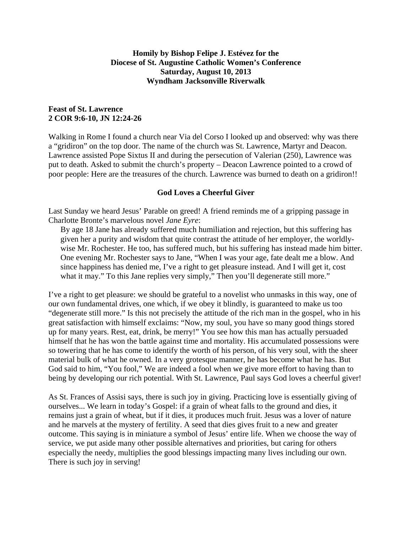## **Homily by Bishop Felipe J. Estévez for the Diocese of St. Augustine Catholic Women's Conference Saturday, August 10, 2013 Wyndham Jacksonville Riverwalk**

## **Feast of St. Lawrence 2 COR 9:6-10, JN 12:24-26**

Walking in Rome I found a church near Via del Corso I looked up and observed: why was there a "gridiron" on the top door. The name of the church was St. Lawrence, Martyr and Deacon. Lawrence assisted Pope Sixtus II and during the persecution of Valerian (250), Lawrence was put to death. Asked to submit the church's property – Deacon Lawrence pointed to a crowd of poor people: Here are the treasures of the church. Lawrence was burned to death on a gridiron!!

## **God Loves a Cheerful Giver**

Last Sunday we heard Jesus' Parable on greed! A friend reminds me of a gripping passage in Charlotte Bronte's marvelous novel *Jane Eyre*:

By age 18 Jane has already suffered much humiliation and rejection, but this suffering has given her a purity and wisdom that quite contrast the attitude of her employer, the worldlywise Mr. Rochester. He too, has suffered much, but his suffering has instead made him bitter. One evening Mr. Rochester says to Jane, "When I was your age, fate dealt me a blow. And since happiness has denied me, I've a right to get pleasure instead. And I will get it, cost what it may." To this Jane replies very simply," Then you'll degenerate still more."

I've a right to get pleasure: we should be grateful to a novelist who unmasks in this way, one of our own fundamental drives, one which, if we obey it blindly, is guaranteed to make us too "degenerate still more." Is this not precisely the attitude of the rich man in the gospel, who in his great satisfaction with himself exclaims: "Now, my soul, you have so many good things stored up for many years. Rest, eat, drink, be merry!" You see how this man has actually persuaded himself that he has won the battle against time and mortality. His accumulated possessions were so towering that he has come to identify the worth of his person, of his very soul, with the sheer material bulk of what he owned. In a very grotesque manner, he has become what he has. But God said to him, "You fool," We are indeed a fool when we give more effort to having than to being by developing our rich potential. With St. Lawrence, Paul says God loves a cheerful giver!

As St. Frances of Assisi says, there is such joy in giving. Practicing love is essentially giving of ourselves... We learn in today's Gospel: if a grain of wheat falls to the ground and dies, it remains just a grain of wheat, but if it dies, it produces much fruit. Jesus was a lover of nature and he marvels at the mystery of fertility. A seed that dies gives fruit to a new and greater outcome. This saying is in miniature a symbol of Jesus' entire life. When we choose the way of service, we put aside many other possible alternatives and priorities, but caring for others especially the needy, multiplies the good blessings impacting many lives including our own. There is such joy in serving!